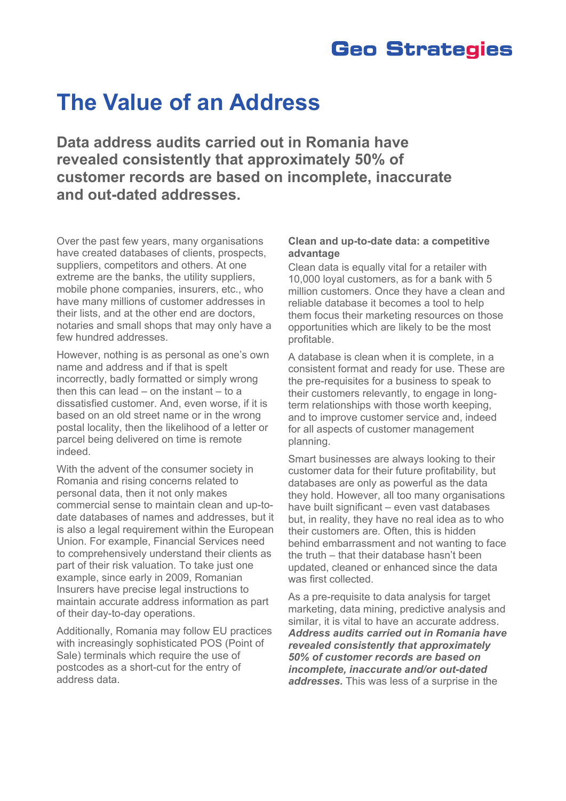## **Geo Strategies**

## **The Value of an Address**

**Data address audits carried out in Romania have revealed consistently that approximately 50% of customer records are based on incomplete, inaccurate and out-dated addresses.** 

Over the past few years, many organisations have created databases of clients, prospects, suppliers, competitors and others. At one extreme are the banks, the utility suppliers, mobile phone companies, insurers, etc., who have many millions of customer addresses in their lists, and at the other end are doctors, notaries and small shops that may only have a few hundred addresses.

However, nothing is as personal as one's own name and address and if that is spelt incorrectly, badly formatted or simply wrong then this can lead – on the instant  $-$  to a dissatisfied customer. And, even worse, if it is based on an old street name or in the wrong postal locality, then the likelihood of a letter or parcel being delivered on time is remote indeed.

With the advent of the consumer society in Romania and rising concerns related to personal data, then it not only makes commercial sense to maintain clean and up-todate databases of names and addresses, but it is also a legal requirement within the European Union. For example, Financial Services need to comprehensively understand their clients as part of their risk valuation. To take just one example, since early in 2009, Romanian Insurers have precise legal instructions to maintain accurate address information as part of their day-to-day operations.

Additionally, Romania may follow EU practices with increasingly sophisticated POS (Point of Sale) terminals which require the use of postcodes as a short-cut for the entry of address data.

## **Clean and up-to-date data: a competitive advantage**

Clean data is equally vital for a retailer with 10,000 loyal customers, as for a bank with 5 million customers. Once they have a clean and reliable database it becomes a tool to help them focus their marketing resources on those opportunities which are likely to be the most profitable.

A database is clean when it is complete, in a consistent format and ready for use. These are the pre-requisites for a business to speak to their customers relevantly, to engage in longterm relationships with those worth keeping, and to improve customer service and, indeed for all aspects of customer management planning.

Smart businesses are always looking to their customer data for their future profitability, but databases are only as powerful as the data they hold. However, all too many organisations have built significant – even vast databases but, in reality, they have no real idea as to who their customers are. Often, this is hidden behind embarrassment and not wanting to face the truth – that their database hasn't been updated, cleaned or enhanced since the data was first collected.

As a pre-requisite to data analysis for target marketing, data mining, predictive analysis and similar, it is vital to have an accurate address. *Address audits carried out in Romania have revealed consistently that approximately 50% of customer records are based on incomplete, inaccurate and/or out-dated addresses.* This was less of a surprise in the